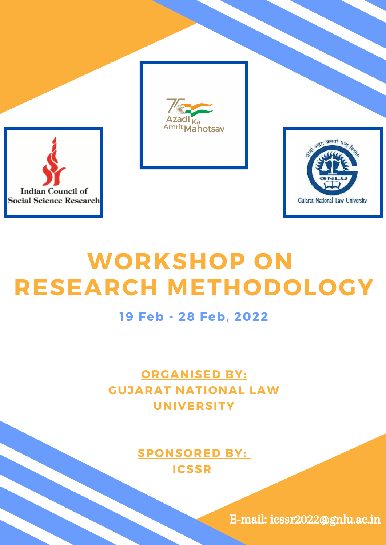





# **WORKSHOP ON RESEARCH METHODOLOGY**



#### **19 Feb - 28 Feb, 2022**

#### **ORGANISED BY: GUJARAT NATIONAL LAW UNIVERSITY**

#### **SPONSORED BY: ICSSR**

E-mail: [icssr2022@gnlu.ac.in](https://www.canva.com/design/DAEyBoqwhbo/edit)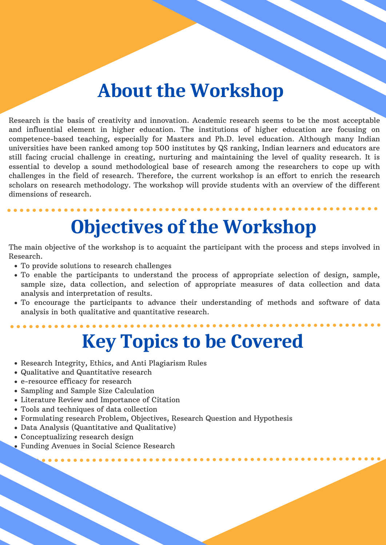## **About the Workshop**

Research is the basis of creativity and innovation. Academic research seems to be the most acceptable and influential element in higher education. The institutions of higher education are focusing on competence-based teaching, especially for Masters and Ph.D. level education. Although many Indian universities have been ranked among top 500 institutes by QS ranking, Indian learners and educators are still facing crucial challenge in creating, nurturing and maintaining the level of quality research. It is essential to develop a sound methodological base of research among the researchers to cope up with challenges in the field of research. Therefore, the current workshop is an effort to enrich the research scholars on research methodology. The workshop will provide students with an overview of the different dimensions of research.

- To provide solutions to research challenges
- To enable the participants to understand the process of appropriate selection of design, sample, sample size, data collection, and selection of appropriate measures of data collection and data

# **Objectives of the Workshop**

analysis and interpretation of results.

To encourage the participants to advance their understanding of methods and software of data analysis in both qualitative and quantitative research.

The main objective of the workshop is to acquaint the participant with the process and steps involved in Research.

# **Key Topics to be Covered**

- Research Integrity, Ethics, and Anti Plagiarism Rules
- Qualitative and Quantitative research
- e-resource efficacy for research
- Sampling and Sample Size Calculation
- Literature Review and Importance of Citation
- Tools and techniques of data collection
- Formulating research Problem, Objectives, Research Question and Hypothesis
- Data Analysis (Quantitative and Qualitative)
- Conceptualizing research design
- Funding Avenues in Social Science Research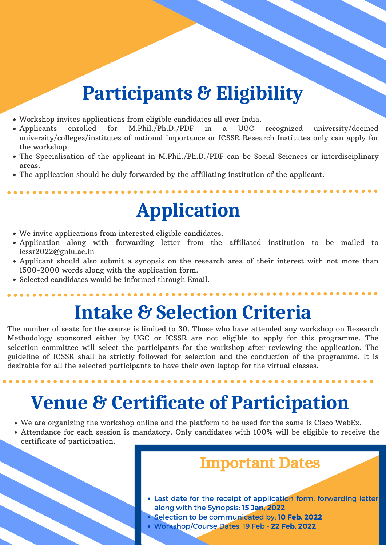- Workshop invites applications from eligible candidates all over India.
- Applicants enrolled for M.Phil./Ph.D./PDF in a UGC recognized university/deemed university/colleges/institutes of national importance or ICSSR Research Institutes only can apply for the workshop.
- The Specialisation of the applicant in M.Phil./Ph.D./PDF can be Social Sciences or interdisciplinary areas.
- The application should be duly forwarded by the affiliating institution of the applicant.

- We invite applications from interested eligible candidates.
- Application along with forwarding letter from the affiliated institution to be mailed to [icssr2022@gnlu.ac.in](mailto:icssr2022@gnlu.ac.in)
- Applicant should also submit a synopsis on the research area of their interest with not more than 1500-2000 words along with the application form.
- Selected candidates would be informed through Email.

## **Participants & Eligibility**

## **Application**

## **Intake & Selection Criteria**

- Last date for the receipt of application form, forwarding letter along with the Synopsis: **15 Jan, 2022**
- Selection to be communicated by: 1**0 Feb, 2022**
- Workshop/Course Dates: 19 Feb **22 Feb, 2022**

The number of seats for the course is limited to 30. Those who have attended any workshop on Research Methodology sponsored either by UGC or ICSSR are not eligible to apply for this programme. The selection committee will select the participants for the workshop after reviewing the application. The guideline of ICSSR shall be strictly followed for selection and the conduction of the programme. It is desirable for all the selected participants to have their own laptop for the virtual classes.

# **Venue & Certificate of Participation**

- We are organizing the workshop online and the platform to be used for the same is Cisco WebEx.
- Attendance for each session is mandatory. Only candidates with 100% will be eligible to receive the certificate of participation.



### Important Dates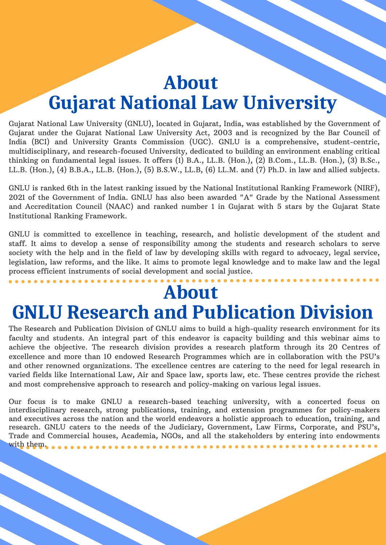## **About Gujarat National Law University**

Gujarat National Law University (GNLU), located in Gujarat, India, was established by the Government of Gujarat under the Gujarat National Law University Act, 2003 and is recognized by the Bar Council of India (BCI) and University Grants Commission (UGC). GNLU is a comprehensive, student-centric, multidisciplinary, and research-focused University, dedicated to building an environment enabling critical thinking on fundamental legal issues. It offers (1) B.A., LL.B. (Hon.), (2) B.Com., LL.B. (Hon.), (3) B.Sc., LL.B. (Hon.), (4) B.B.A., LL.B. (Hon.), (5) B.S.W., LL.B, (6) LL.M. and (7) Ph.D. in law and allied subjects.

GNLU is ranked 6th in the latest ranking issued by the National Institutional Ranking Framework (NIRF), 2021 of the Government of India. GNLU has also been awarded "A" Grade by the National Assessment and Accreditation Council (NAAC) and ranked number 1 in Gujarat with 5 stars by the Gujarat State Institutional Ranking Framework.

GNLU is committed to excellence in teaching, research, and holistic development of the student and staff. It aims to develop a sense of responsibility among the students and research scholars to serve society with the help and in the field of law by developing skills with regard to advocacy, legal service, legislation, law reforms, and the like. It aims to promote legal knowledge and to make law and the legal process efficient instruments of social development and social justice.



### **About GNLU Research and Publication Division**

The Research and Publication Division of GNLU aims to build a high-quality research environment for its faculty and students. An integral part of this endeavor is capacity building and this webinar aims to achieve the objective. The research division provides a research platform through its 20 Centres of excellence and more than 10 endowed Research Programmes which are in collaboration with the PSU's and other renowned organizations. The excellence centres are catering to the need for legal research in varied fields like International Law, Air and Space law, sports law, etc. These centres provide the richest and most comprehensive approach to research and policy-making on various legal issues.

Our focus is to make GNLU a research-based teaching university, with a concerted focus on interdisciplinary research, strong publications, training, and extension programmes for policy-makers and executives across the nation and the world endeavors a holistic approach to education, training, and research. GNLU caters to the needs of the Judiciary, Government, Law Firms, Corporate, and PSU's, Trade and Commercial houses, Academia, NGOs, and all the stakeholders by entering into endowments with them.